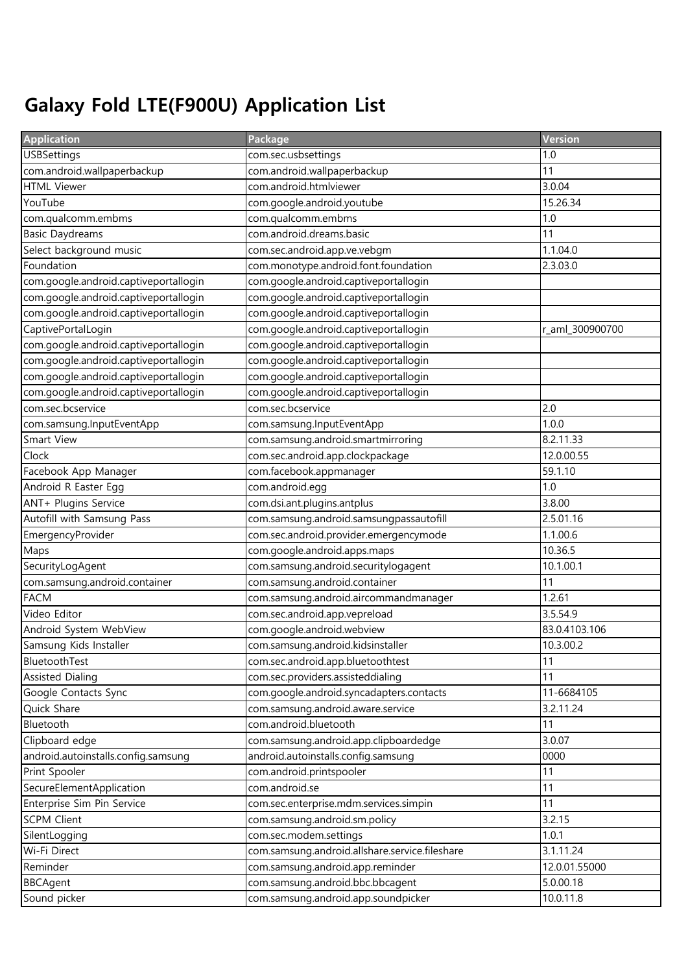## Galaxy Fold LTE(F900U) Application List

| <b>Application</b>                    | Package                                        | <b>Version</b>  |
|---------------------------------------|------------------------------------------------|-----------------|
| <b>USBSettings</b>                    | com.sec.usbsettings                            | 1.0             |
| com.android.wallpaperbackup           | com.android.wallpaperbackup                    | 11              |
| <b>HTML Viewer</b>                    | com.android.htmlviewer                         | 3.0.04          |
| YouTube                               | com.google.android.youtube                     | 15.26.34        |
| com.qualcomm.embms                    | com.qualcomm.embms                             | 1.0             |
| <b>Basic Daydreams</b>                | com.android.dreams.basic                       | 11              |
| Select background music               | com.sec.android.app.ve.vebgm                   | 1.1.04.0        |
| Foundation                            | com.monotype.android.font.foundation           | 2.3.03.0        |
| com.google.android.captiveportallogin | com.google.android.captiveportallogin          |                 |
| com.google.android.captiveportallogin | com.google.android.captiveportallogin          |                 |
| com.google.android.captiveportallogin | com.google.android.captiveportallogin          |                 |
| CaptivePortalLogin                    | com.google.android.captiveportallogin          | r_aml_300900700 |
| com.google.android.captiveportallogin | com.google.android.captiveportallogin          |                 |
| com.google.android.captiveportallogin | com.google.android.captiveportallogin          |                 |
| com.google.android.captiveportallogin | com.google.android.captiveportallogin          |                 |
| com.google.android.captiveportallogin | com.google.android.captiveportallogin          |                 |
| com.sec.bcservice                     | com.sec.bcservice                              | 2.0             |
| com.samsung.InputEventApp             | com.samsung.InputEventApp                      | 1.0.0           |
| Smart View                            | com.samsung.android.smartmirroring             | 8.2.11.33       |
| Clock                                 | com.sec.android.app.clockpackage               | 12.0.00.55      |
| Facebook App Manager                  | com.facebook.appmanager                        | 59.1.10         |
| Android R Easter Egg                  | com.android.egg                                | 1.0             |
| ANT+ Plugins Service                  | com.dsi.ant.plugins.antplus                    | 3.8.00          |
| Autofill with Samsung Pass            | com.samsung.android.samsungpassautofill        | 2.5.01.16       |
| EmergencyProvider                     | com.sec.android.provider.emergencymode         | 1.1.00.6        |
| Maps                                  | com.google.android.apps.maps                   | 10.36.5         |
| SecurityLogAgent                      | com.samsung.android.securitylogagent           | 10.1.00.1       |
| com.samsung.android.container         | com.samsung.android.container                  | 11              |
| <b>FACM</b>                           | com.samsung.android.aircommandmanager          | 1.2.61          |
| Video Editor                          | com.sec.android.app.vepreload                  | 3.5.54.9        |
| Android System WebView                | com.google.android.webview                     | 83.0.4103.106   |
| Samsung Kids Installer                | com.samsung.android.kidsinstaller              | 10.3.00.2       |
| BluetoothTest                         | com.sec.android.app.bluetoothtest              | 11              |
| <b>Assisted Dialing</b>               | com.sec.providers.assisteddialing              | 11              |
| Google Contacts Sync                  | com.google.android.syncadapters.contacts       | 11-6684105      |
| Quick Share                           | com.samsung.android.aware.service              | 3.2.11.24       |
| Bluetooth                             | com.android.bluetooth                          | 11              |
| Clipboard edge                        | com.samsung.android.app.clipboardedge          | 3.0.07          |
| android.autoinstalls.config.samsung   | android.autoinstalls.config.samsung            | 0000            |
| Print Spooler                         | com.android.printspooler                       | 11              |
| SecureElementApplication              | com.android.se                                 | 11              |
| Enterprise Sim Pin Service            | com.sec.enterprise.mdm.services.simpin         | 11              |
| <b>SCPM Client</b>                    | com.samsung.android.sm.policy                  | 3.2.15          |
| SilentLogging                         | com.sec.modem.settings                         | 1.0.1           |
| Wi-Fi Direct                          | com.samsung.android.allshare.service.fileshare | 3.1.11.24       |
| Reminder                              | com.samsung.android.app.reminder               | 12.0.01.55000   |
| <b>BBCAgent</b>                       | com.samsung.android.bbc.bbcagent               | 5.0.00.18       |
| Sound picker                          | com.samsung.android.app.soundpicker            | 10.0.11.8       |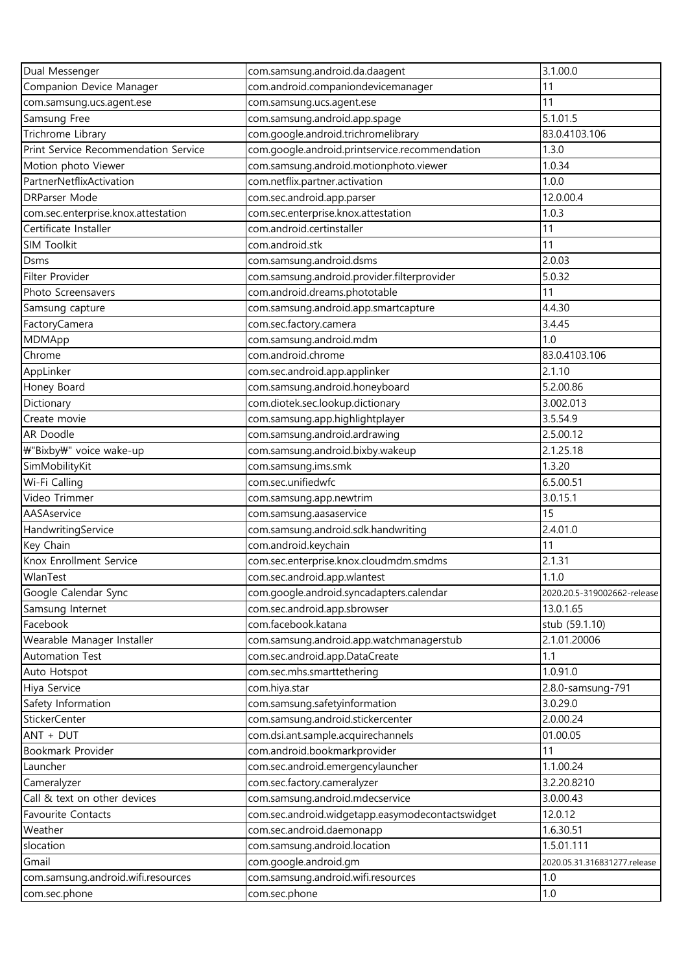| Dual Messenger                       | com.samsung.android.da.daagent                   | 3.1.00.0                     |
|--------------------------------------|--------------------------------------------------|------------------------------|
| Companion Device Manager             | com.android.companiondevicemanager               | 11                           |
| com.samsung.ucs.agent.ese            | com.samsung.ucs.agent.ese                        | 11                           |
| Samsung Free                         | com.samsung.android.app.spage                    | 5.1.01.5                     |
| Trichrome Library                    | com.google.android.trichromelibrary              | 83.0.4103.106                |
| Print Service Recommendation Service | com.google.android.printservice.recommendation   | 1.3.0                        |
| Motion photo Viewer                  | com.samsung.android.motionphoto.viewer           | 1.0.34                       |
| PartnerNetflixActivation             | com.netflix.partner.activation                   | 1.0.0                        |
| <b>DRParser Mode</b>                 | com.sec.android.app.parser                       | 12.0.00.4                    |
| com.sec.enterprise.knox.attestation  | com.sec.enterprise.knox.attestation              | 1.0.3                        |
| Certificate Installer                | com.android.certinstaller                        | 11                           |
| SIM Toolkit                          | com.android.stk                                  | 11                           |
| <b>Dsms</b>                          | com.samsung.android.dsms                         | 2.0.03                       |
| Filter Provider                      | com.samsung.android.provider.filterprovider      | 5.0.32                       |
| Photo Screensavers                   | com.android.dreams.phototable                    | 11                           |
| Samsung capture                      | com.samsung.android.app.smartcapture             | 4.4.30                       |
| FactoryCamera                        | com.sec.factory.camera                           | 3.4.45                       |
| MDMApp                               | com.samsung.android.mdm                          | 1.0                          |
| Chrome                               | com.android.chrome                               | 83.0.4103.106                |
| AppLinker                            | com.sec.android.app.applinker                    | 2.1.10                       |
| Honey Board                          | com.samsung.android.honeyboard                   | 5.2.00.86                    |
| Dictionary                           | com.diotek.sec.lookup.dictionary                 | 3.002.013                    |
| Create movie                         | com.samsung.app.highlightplayer                  | 3.5.54.9                     |
| AR Doodle                            | com.samsung.android.ardrawing                    | 2.5.00.12                    |
| ₩"Bixby₩" voice wake-up              | com.samsung.android.bixby.wakeup                 | 2.1.25.18                    |
| SimMobilityKit                       | com.samsung.ims.smk                              | 1.3.20                       |
| Wi-Fi Calling                        | com.sec.unifiedwfc                               | 6.5.00.51                    |
| Video Trimmer                        | com.samsung.app.newtrim                          | 3.0.15.1                     |
| AASAservice                          | com.samsung.aasaservice                          | 15                           |
| HandwritingService                   | com.samsung.android.sdk.handwriting              | 2.4.01.0                     |
| Key Chain                            | com.android.keychain                             | 11                           |
| Knox Enrollment Service              | com.sec.enterprise.knox.cloudmdm.smdms           | 2.1.31                       |
| WlanTest                             | com.sec.android.app.wlantest                     | 1.1.0                        |
| Google Calendar Sync                 | com.google.android.syncadapters.calendar         | 2020.20.5-319002662-release  |
| Samsung Internet                     | com.sec.android.app.sbrowser                     | 13.0.1.65                    |
| Facebook                             | com.facebook.katana                              | stub (59.1.10)               |
| Wearable Manager Installer           | com.samsung.android.app.watchmanagerstub         | 2.1.01.20006                 |
| Automation Test                      | com.sec.android.app.DataCreate                   | 1.1                          |
| Auto Hotspot                         | com.sec.mhs.smarttethering                       | 1.0.91.0                     |
| Hiya Service                         | com.hiya.star                                    | 2.8.0-samsung-791            |
| Safety Information                   | com.samsung.safetyinformation                    | 3.0.29.0                     |
| StickerCenter                        | com.samsung.android.stickercenter                | 2.0.00.24                    |
| ANT + DUT                            | com.dsi.ant.sample.acquirechannels               | 01.00.05                     |
| Bookmark Provider                    | com.android.bookmarkprovider                     | 11                           |
| Launcher                             | com.sec.android.emergencylauncher                | 1.1.00.24                    |
| Cameralyzer                          | com.sec.factory.cameralyzer                      | 3.2.20.8210                  |
| Call & text on other devices         | com.samsung.android.mdecservice                  | 3.0.00.43                    |
| Favourite Contacts                   | com.sec.android.widgetapp.easymodecontactswidget | 12.0.12                      |
| Weather                              | com.sec.android.daemonapp                        | 1.6.30.51                    |
| slocation                            | com.samsung.android.location                     | 1.5.01.111                   |
| Gmail                                | com.google.android.gm                            | 2020.05.31.316831277.release |
| com.samsung.android.wifi.resources   | com.samsung.android.wifi.resources               | 1.0                          |
| com.sec.phone                        | com.sec.phone                                    | 1.0                          |
|                                      |                                                  |                              |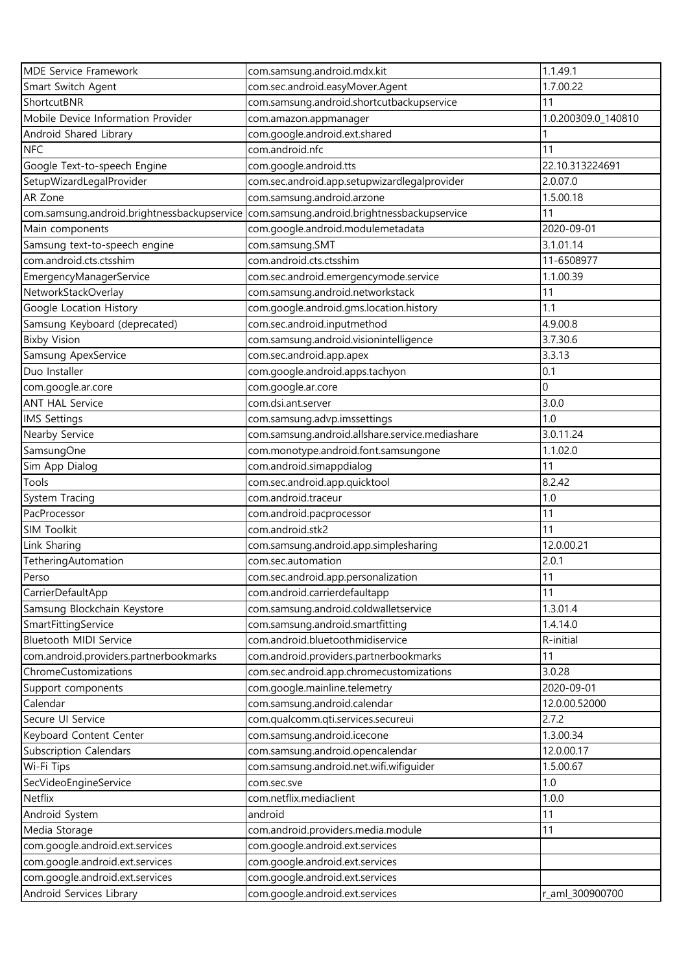| <b>MDE Service Framework</b>                | com.samsung.android.mdx.kit                     | 1.1.49.1            |
|---------------------------------------------|-------------------------------------------------|---------------------|
| Smart Switch Agent                          | com.sec.android.easyMover.Agent                 | 1.7.00.22           |
| ShortcutBNR                                 | com.samsung.android.shortcutbackupservice       | 11                  |
| Mobile Device Information Provider          | com.amazon.appmanager                           | 1.0.200309.0_140810 |
| Android Shared Library                      | com.google.android.ext.shared                   |                     |
| <b>NFC</b>                                  | com.android.nfc                                 | 11                  |
| Google Text-to-speech Engine                | com.google.android.tts                          | 22.10.313224691     |
| SetupWizardLegalProvider                    | com.sec.android.app.setupwizardlegalprovider    | 2.0.07.0            |
| AR Zone                                     | com.samsung.android.arzone                      | 1.5.00.18           |
| com.samsung.android.brightnessbackupservice | com.samsung.android.brightnessbackupservice     | 11                  |
| Main components                             | com.google.android.modulemetadata               | 2020-09-01          |
| Samsung text-to-speech engine               | com.samsung.SMT                                 | 3.1.01.14           |
| com.android.cts.ctsshim                     | com.android.cts.ctsshim                         | 11-6508977          |
| EmergencyManagerService                     | com.sec.android.emergencymode.service           | 1.1.00.39           |
| NetworkStackOverlay                         | com.samsung.android.networkstack                | 11                  |
| Google Location History                     | com.google.android.gms.location.history         | 1.1                 |
| Samsung Keyboard (deprecated)               | com.sec.android.inputmethod                     | 4.9.00.8            |
| <b>Bixby Vision</b>                         | com.samsung.android.visionintelligence          | 3.7.30.6            |
| Samsung ApexService                         | com.sec.android.app.apex                        | 3.3.13              |
| Duo Installer                               | com.google.android.apps.tachyon                 | 0.1                 |
| com.google.ar.core                          | com.google.ar.core                              | $\overline{0}$      |
| <b>ANT HAL Service</b>                      | com.dsi.ant.server                              | 3.0.0               |
| <b>IMS Settings</b>                         | com.samsung.advp.imssettings                    | 1.0                 |
| Nearby Service                              | com.samsung.android.allshare.service.mediashare | 3.0.11.24           |
| SamsungOne                                  | com.monotype.android.font.samsungone            | 1.1.02.0            |
| Sim App Dialog                              | com.android.simappdialog                        | 11                  |
| Tools                                       | com.sec.android.app.quicktool                   | 8.2.42              |
| System Tracing                              | com.android.traceur                             | 1.0                 |
| PacProcessor                                | com.android.pacprocessor                        | 11                  |
| <b>SIM Toolkit</b>                          | com.android.stk2                                | 11                  |
| Link Sharing                                | com.samsung.android.app.simplesharing           | 12.0.00.21          |
| TetheringAutomation                         | com.sec.automation                              | 2.0.1               |
| Perso                                       | com.sec.android.app.personalization             | 11                  |
| CarrierDefaultApp                           | com.android.carrierdefaultapp                   | 11                  |
| Samsung Blockchain Keystore                 | com.samsung.android.coldwalletservice           | 1.3.01.4            |
| SmartFittingService                         | com.samsung.android.smartfitting                | 1.4.14.0            |
| Bluetooth MIDI Service                      | com.android.bluetoothmidiservice                | R-initial           |
| com.android.providers.partnerbookmarks      | com.android.providers.partnerbookmarks          | 11                  |
| ChromeCustomizations                        | com.sec.android.app.chromecustomizations        | 3.0.28              |
| Support components                          | com.google.mainline.telemetry                   | 2020-09-01          |
| Calendar                                    | com.samsung.android.calendar                    | 12.0.00.52000       |
| Secure UI Service                           | com.qualcomm.qti.services.secureui              | 2.7.2               |
| Keyboard Content Center                     | com.samsung.android.icecone                     | 1.3.00.34           |
| <b>Subscription Calendars</b>               | com.samsung.android.opencalendar                | 12.0.00.17          |
| Wi-Fi Tips                                  | com.samsung.android.net.wifi.wifiguider         | 1.5.00.67           |
| SecVideoEngineService                       | com.sec.sve                                     | 1.0                 |
| Netflix                                     | com.netflix.mediaclient                         | 1.0.0               |
| Android System                              | android                                         | 11                  |
| Media Storage                               | com.android.providers.media.module              | 11                  |
| com.google.android.ext.services             | com.google.android.ext.services                 |                     |
| com.google.android.ext.services             | com.google.android.ext.services                 |                     |
| com.google.android.ext.services             | com.google.android.ext.services                 |                     |
| Android Services Library                    | com.google.android.ext.services                 | r_aml_300900700     |
|                                             |                                                 |                     |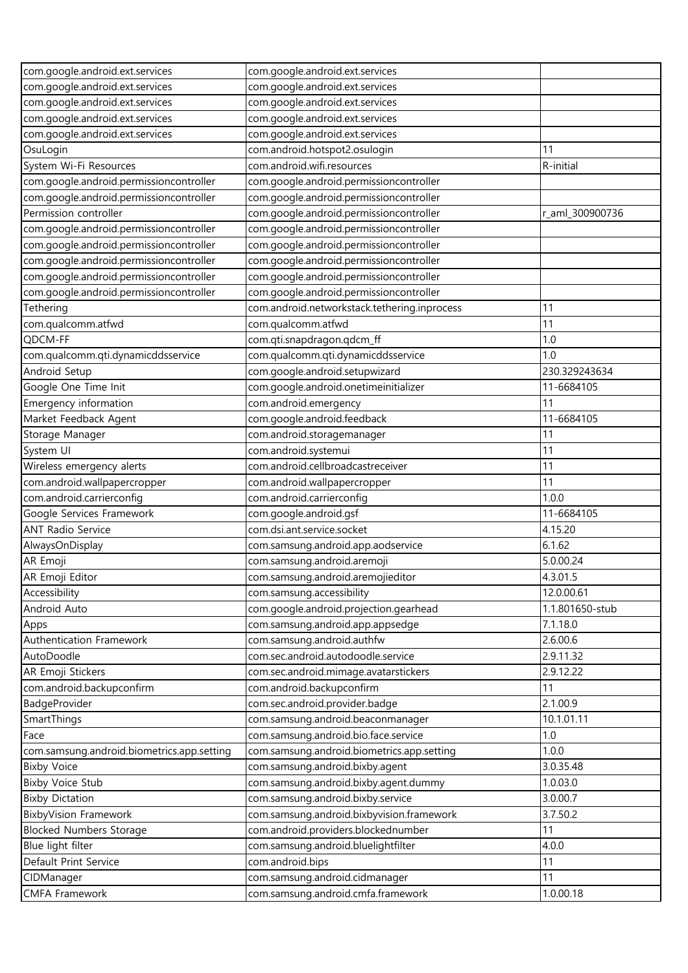| com.google.android.ext.services            | com.google.android.ext.services              |                 |
|--------------------------------------------|----------------------------------------------|-----------------|
| com.google.android.ext.services            | com.google.android.ext.services              |                 |
| com.google.android.ext.services            | com.google.android.ext.services              |                 |
| com.google.android.ext.services            | com.google.android.ext.services              |                 |
| com.google.android.ext.services            | com.google.android.ext.services              |                 |
| OsuLogin                                   | com.android.hotspot2.osulogin                | 11              |
| System Wi-Fi Resources                     | com.android.wifi.resources                   | R-initial       |
| com.google.android.permissioncontroller    | com.google.android.permissioncontroller      |                 |
| com.google.android.permissioncontroller    | com.google.android.permissioncontroller      |                 |
| Permission controller                      | com.google.android.permissioncontroller      | r_aml_300900736 |
| com.google.android.permissioncontroller    | com.google.android.permissioncontroller      |                 |
| com.google.android.permissioncontroller    | com.google.android.permissioncontroller      |                 |
| com.google.android.permissioncontroller    | com.google.android.permissioncontroller      |                 |
| com.google.android.permissioncontroller    | com.google.android.permissioncontroller      |                 |
| com.google.android.permissioncontroller    | com.google.android.permissioncontroller      |                 |
| Tethering                                  | com.android.networkstack.tethering.inprocess | 11              |
| com.qualcomm.atfwd                         | com.qualcomm.atfwd                           | 11              |
| QDCM-FF                                    | com.qti.snapdragon.qdcm_ff                   | 1.0             |
| com.qualcomm.qti.dynamicddsservice         | com.qualcomm.qti.dynamicddsservice           | 1.0             |
| Android Setup                              | com.google.android.setupwizard               | 230.329243634   |
| Google One Time Init                       | com.google.android.onetimeinitializer        | 11-6684105      |
| Emergency information                      | com.android.emergency                        | 11              |
| Market Feedback Agent                      | com.google.android.feedback                  | 11-6684105      |
| Storage Manager                            | com.android.storagemanager                   | 11              |
| System UI                                  | com.android.systemui                         | 11              |
| Wireless emergency alerts                  | com.android.cellbroadcastreceiver            | 11              |
| com.android.wallpapercropper               | com.android.wallpapercropper                 | 11              |
| com.android.carrierconfig                  | com.android.carrierconfig                    | 1.0.0           |
| Google Services Framework                  | com.google.android.gsf                       | 11-6684105      |
| <b>ANT Radio Service</b>                   | com.dsi.ant.service.socket                   | 4.15.20         |
| AlwaysOnDisplay                            | com.samsung.android.app.aodservice           | 6.1.62          |
| AR Emoji                                   | com.samsung.android.aremoji                  | 5.0.00.24       |
| AR Emoji Editor                            | com.samsung.android.aremojieditor            | 4.3.01.5        |
| Accessibility                              | com.samsung.accessibility                    | 12.0.00.61      |
| Android Auto                               | com.google.android.projection.gearhead       | 1.1.801650-stub |
| Apps                                       | com.samsung.android.app.appsedge             | 7.1.18.0        |
| Authentication Framework                   | com.samsung.android.authfw                   | 2.6.00.6        |
| AutoDoodle                                 | com.sec.android.autodoodle.service           | 2.9.11.32       |
| AR Emoji Stickers                          | com.sec.android.mimage.avatarstickers        | 2.9.12.22       |
| com.android.backupconfirm                  | com.android.backupconfirm                    | 11              |
| BadgeProvider                              | com.sec.android.provider.badge               | 2.1.00.9        |
| SmartThings                                | com.samsung.android.beaconmanager            | 10.1.01.11      |
| Face                                       | com.samsung.android.bio.face.service         | 1.0             |
| com.samsung.android.biometrics.app.setting | com.samsung.android.biometrics.app.setting   | 1.0.0           |
| <b>Bixby Voice</b>                         | com.samsung.android.bixby.agent              | 3.0.35.48       |
| <b>Bixby Voice Stub</b>                    | com.samsung.android.bixby.agent.dummy        | 1.0.03.0        |
| <b>Bixby Dictation</b>                     | com.samsung.android.bixby.service            | 3.0.00.7        |
| <b>BixbyVision Framework</b>               | com.samsung.android.bixbyvision.framework    | 3.7.50.2        |
| <b>Blocked Numbers Storage</b>             | com.android.providers.blockednumber          | 11              |
| Blue light filter                          | com.samsung.android.bluelightfilter          | 4.0.0           |
| Default Print Service                      | com.android.bips                             | 11              |
| CIDManager                                 | com.samsung.android.cidmanager               | 11              |
| <b>CMFA Framework</b>                      | com.samsung.android.cmfa.framework           | 1.0.00.18       |
|                                            |                                              |                 |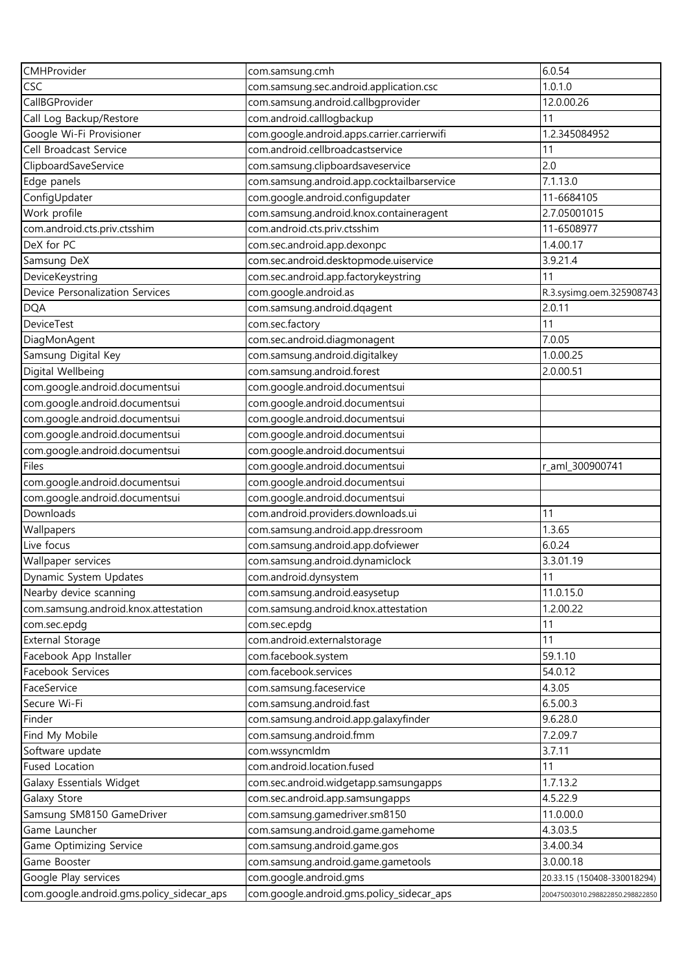| CMHProvider                               | com.samsung.cmh                             | 6.0.54                           |
|-------------------------------------------|---------------------------------------------|----------------------------------|
| CSC                                       | com.samsung.sec.android.application.csc     | 1.0.1.0                          |
| CallBGProvider                            | com.samsung.android.callbgprovider          | 12.0.00.26                       |
| Call Log Backup/Restore                   | com.android.calllogbackup                   | 11                               |
| Google Wi-Fi Provisioner                  | com.google.android.apps.carrier.carrierwifi | 1.2.345084952                    |
| Cell Broadcast Service                    | com.android.cellbroadcastservice            | 11                               |
| ClipboardSaveService                      | com.samsung.clipboardsaveservice            | 2.0                              |
| Edge panels                               | com.samsung.android.app.cocktailbarservice  | 7.1.13.0                         |
| ConfigUpdater                             | com.google.android.configupdater            | 11-6684105                       |
| Work profile                              | com.samsung.android.knox.containeragent     | 2.7.05001015                     |
| com.android.cts.priv.ctsshim              | com.android.cts.priv.ctsshim                | 11-6508977                       |
| DeX for PC                                | com.sec.android.app.dexonpc                 | 1.4.00.17                        |
| Samsung DeX                               | com.sec.android.desktopmode.uiservice       | 3.9.21.4                         |
| DeviceKeystring                           | com.sec.android.app.factorykeystring        | 11                               |
| Device Personalization Services           | com.google.android.as                       | R.3.sysimg.oem.325908743         |
| <b>DQA</b>                                | com.samsung.android.dqagent                 | 2.0.11                           |
| <b>DeviceTest</b>                         | com.sec.factory                             | 11                               |
| DiagMonAgent                              | com.sec.android.diagmonagent                | 7.0.05                           |
| Samsung Digital Key                       | com.samsung.android.digitalkey              | 1.0.00.25                        |
| Digital Wellbeing                         | com.samsung.android.forest                  | 2.0.00.51                        |
| com.google.android.documentsui            | com.google.android.documentsui              |                                  |
| com.google.android.documentsui            | com.google.android.documentsui              |                                  |
| com.google.android.documentsui            | com.google.android.documentsui              |                                  |
| com.google.android.documentsui            | com.google.android.documentsui              |                                  |
| com.google.android.documentsui            | com.google.android.documentsui              |                                  |
| Files                                     | com.google.android.documentsui              | r_aml_300900741                  |
| com.google.android.documentsui            | com.google.android.documentsui              |                                  |
| com.google.android.documentsui            | com.google.android.documentsui              |                                  |
| Downloads                                 | com.android.providers.downloads.ui          | 11                               |
| Wallpapers                                | com.samsung.android.app.dressroom           | 1.3.65                           |
| Live focus                                | com.samsung.android.app.dofviewer           | 6.0.24                           |
| Wallpaper services                        | com.samsung.android.dynamiclock             | 3.3.01.19                        |
| Dynamic System Updates                    | com.android.dynsystem                       | 11                               |
| Nearby device scanning                    | com.samsung.android.easysetup               | 11.0.15.0                        |
| com.samsung.android.knox.attestation      | com.samsung.android.knox.attestation        | 1.2.00.22                        |
| com.sec.epdg                              | com.sec.epdg                                | 11                               |
| <b>External Storage</b>                   | com.android.externalstorage                 | 11                               |
| Facebook App Installer                    | com.facebook.system                         | 59.1.10                          |
| Facebook Services                         | com.facebook.services                       | 54.0.12                          |
| FaceService                               | com.samsung.faceservice                     | 4.3.05                           |
| Secure Wi-Fi                              | com.samsung.android.fast                    | 6.5.00.3                         |
| Finder                                    | com.samsung.android.app.galaxyfinder        | 9.6.28.0                         |
| Find My Mobile                            | com.samsung.android.fmm                     | 7.2.09.7                         |
| Software update                           | com.wssyncmldm                              | 3.7.11                           |
| <b>Fused Location</b>                     | com.android.location.fused                  | 11                               |
| Galaxy Essentials Widget                  | com.sec.android.widgetapp.samsungapps       | 1.7.13.2                         |
| Galaxy Store                              | com.sec.android.app.samsungapps             | 4.5.22.9                         |
| Samsung SM8150 GameDriver                 | com.samsung.gamedriver.sm8150               | 11.0.00.0                        |
| Game Launcher                             | com.samsung.android.game.gamehome           | 4.3.03.5                         |
| Game Optimizing Service                   | com.samsung.android.game.gos                | 3.4.00.34                        |
| Game Booster                              | com.samsung.android.game.gametools          | 3.0.00.18                        |
| Google Play services                      | com.google.android.gms                      | 20.33.15 (150408-330018294)      |
| com.google.android.gms.policy_sidecar_aps | com.google.android.gms.policy_sidecar_aps   | 200475003010.298822850.298822850 |
|                                           |                                             |                                  |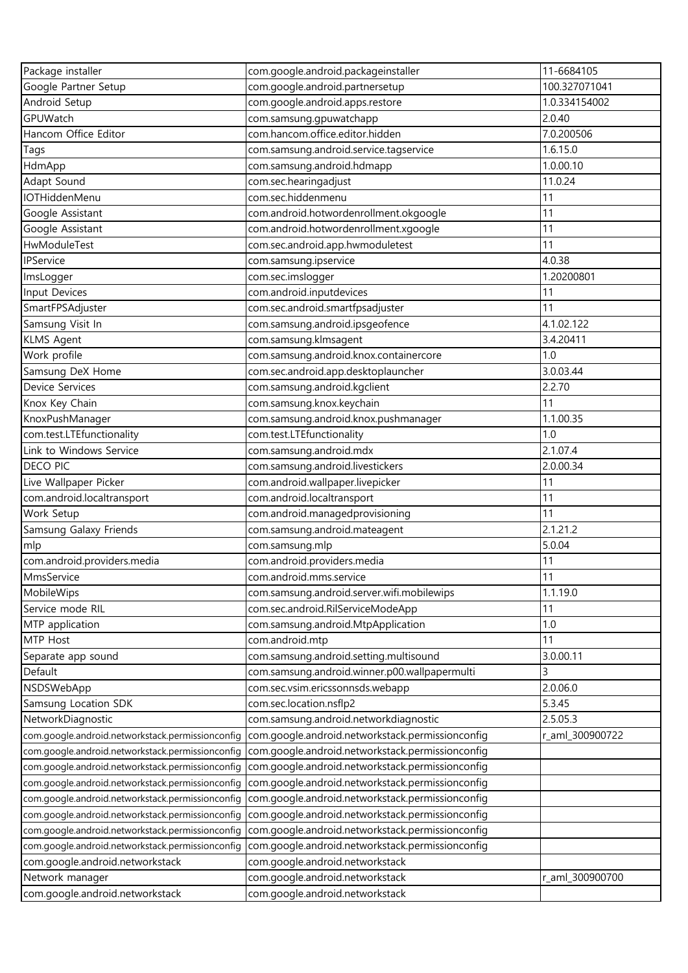| Package installer                                | com.google.android.packageinstaller              | 11-6684105      |
|--------------------------------------------------|--------------------------------------------------|-----------------|
| Google Partner Setup                             | com.google.android.partnersetup                  | 100.327071041   |
| Android Setup                                    | com.google.android.apps.restore                  | 1.0.334154002   |
| GPUWatch                                         | com.samsung.gpuwatchapp                          | 2.0.40          |
| Hancom Office Editor                             | com.hancom.office.editor.hidden                  | 7.0.200506      |
| Tags                                             | com.samsung.android.service.tagservice           | 1.6.15.0        |
| HdmApp                                           | com.samsung.android.hdmapp                       | 1.0.00.10       |
| Adapt Sound                                      | com.sec.hearingadjust                            | 11.0.24         |
| <b>IOTHiddenMenu</b>                             | com.sec.hiddenmenu                               | 11              |
| Google Assistant                                 | com.android.hotwordenrollment.okgoogle           | 11              |
| Google Assistant                                 | com.android.hotwordenrollment.xgoogle            | 11              |
| HwModuleTest                                     | com.sec.android.app.hwmoduletest                 | 11              |
| IPService                                        | com.samsung.ipservice                            | 4.0.38          |
| ImsLogger                                        | com.sec.imslogger                                | 1.20200801      |
| Input Devices                                    | com.android.inputdevices                         | 11              |
| SmartFPSAdjuster                                 | com.sec.android.smartfpsadjuster                 | 11              |
| Samsung Visit In                                 | com.samsung.android.ipsgeofence                  | 4.1.02.122      |
| <b>KLMS Agent</b>                                | com.samsung.klmsagent                            | 3.4.20411       |
| Work profile                                     | com.samsung.android.knox.containercore           | 1.0             |
| Samsung DeX Home                                 | com.sec.android.app.desktoplauncher              | 3.0.03.44       |
| Device Services                                  | com.samsung.android.kgclient                     | 2.2.70          |
| Knox Key Chain                                   | com.samsung.knox.keychain                        | 11              |
| KnoxPushManager                                  | com.samsung.android.knox.pushmanager             | 1.1.00.35       |
| com.test.LTEfunctionality                        | com.test.LTEfunctionality                        | 1.0             |
| Link to Windows Service                          | com.samsung.android.mdx                          | 2.1.07.4        |
| <b>DECO PIC</b>                                  | com.samsung.android.livestickers                 | 2.0.00.34       |
| Live Wallpaper Picker                            | com.android.wallpaper.livepicker                 | 11              |
| com.android.localtransport                       | com.android.localtransport                       | 11              |
| Work Setup                                       | com.android.managedprovisioning                  | 11              |
| Samsung Galaxy Friends                           | com.samsung.android.mateagent                    | 2.1.21.2        |
| mlp                                              | com.samsung.mlp                                  | 5.0.04          |
| com.android.providers.media                      | com.android.providers.media                      | 11              |
| MmsService                                       | com.android.mms.service                          | 11              |
| MobileWips                                       | com.samsung.android.server.wifi.mobilewips       | 1.1.19.0        |
| Service mode RIL                                 | com.sec.android.RilServiceModeApp                | 11              |
| MTP application                                  | com.samsung.android.MtpApplication               | 1.0             |
| MTP Host                                         | com.android.mtp                                  | 11              |
| Separate app sound                               | com.samsung.android.setting.multisound           | 3.0.00.11       |
| Default                                          | com.samsung.android.winner.p00.wallpapermulti    | 3               |
| NSDSWebApp                                       | com.sec.vsim.ericssonnsds.webapp                 | 2.0.06.0        |
| Samsung Location SDK                             | com.sec.location.nsflp2                          | 5.3.45          |
| NetworkDiagnostic                                | com.samsung.android.networkdiagnostic            | 2.5.05.3        |
| com.google.android.networkstack.permissionconfig | com.google.android.networkstack.permissionconfig | r_aml_300900722 |
| com.google.android.networkstack.permissionconfig | com.google.android.networkstack.permissionconfig |                 |
| com.google.android.networkstack.permissionconfig | com.google.android.networkstack.permissionconfig |                 |
| com.google.android.networkstack.permissionconfig | com.google.android.networkstack.permissionconfig |                 |
| com.google.android.networkstack.permissionconfig | com.google.android.networkstack.permissionconfig |                 |
| com.google.android.networkstack.permissionconfig | com.google.android.networkstack.permissionconfig |                 |
| com.google.android.networkstack.permissionconfig | com.google.android.networkstack.permissionconfig |                 |
| com.google.android.networkstack.permissionconfig | com.google.android.networkstack.permissionconfig |                 |
| com.google.android.networkstack                  | com.google.android.networkstack                  |                 |
| Network manager                                  | com.google.android.networkstack                  | r_aml_300900700 |
| com.google.android.networkstack                  | com.google.android.networkstack                  |                 |
|                                                  |                                                  |                 |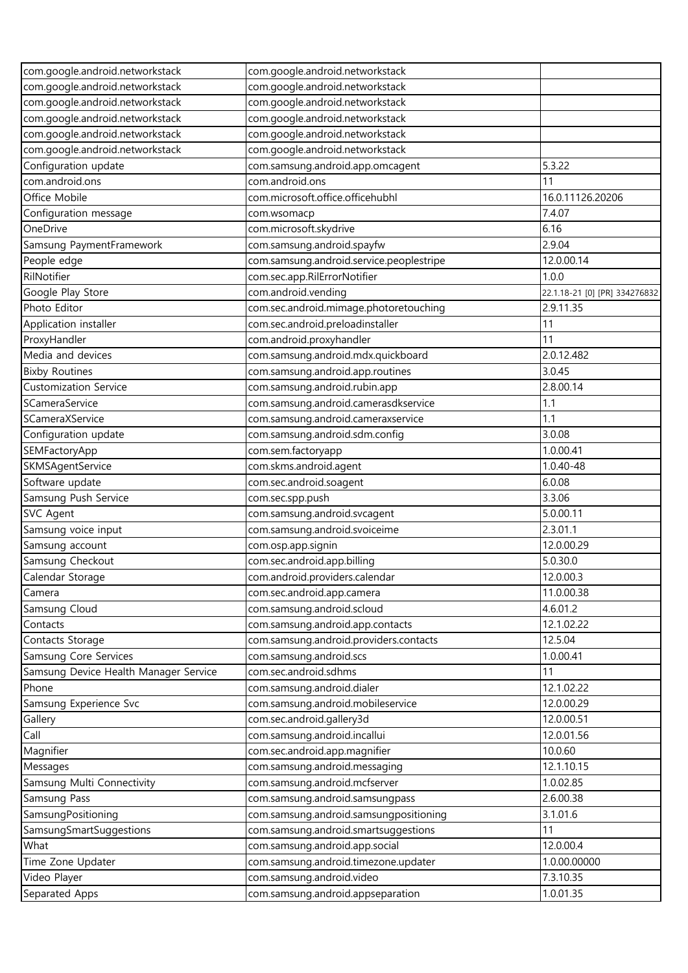| com.google.android.networkstack       | com.google.android.networkstack          |                               |
|---------------------------------------|------------------------------------------|-------------------------------|
| com.google.android.networkstack       | com.google.android.networkstack          |                               |
| com.google.android.networkstack       | com.google.android.networkstack          |                               |
| com.google.android.networkstack       | com.google.android.networkstack          |                               |
| com.google.android.networkstack       | com.google.android.networkstack          |                               |
| com.google.android.networkstack       | com.google.android.networkstack          |                               |
| Configuration update                  | com.samsung.android.app.omcagent         | 5.3.22                        |
| com.android.ons                       | com.android.ons                          | 11                            |
| Office Mobile                         | com.microsoft.office.officehubhl         | 16.0.11126.20206              |
| Configuration message                 | com.wsomacp                              | 7.4.07                        |
| OneDrive                              | com.microsoft.skydrive                   | 6.16                          |
| Samsung PaymentFramework              | com.samsung.android.spayfw               | 2.9.04                        |
| People edge                           | com.samsung.android.service.peoplestripe | 12.0.00.14                    |
| RilNotifier                           | com.sec.app.RilErrorNotifier             | 1.0.0                         |
| Google Play Store                     | com.android.vending                      | 22.1.18-21 [0] [PR] 334276832 |
| Photo Editor                          | com.sec.android.mimage.photoretouching   | 2.9.11.35                     |
| Application installer                 | com.sec.android.preloadinstaller         | 11                            |
| ProxyHandler                          | com.android.proxyhandler                 | 11                            |
| Media and devices                     | com.samsung.android.mdx.quickboard       | 2.0.12.482                    |
| <b>Bixby Routines</b>                 | com.samsung.android.app.routines         | 3.0.45                        |
| <b>Customization Service</b>          | com.samsung.android.rubin.app            | 2.8.00.14                     |
| SCameraService                        | com.samsung.android.camerasdkservice     | 1.1                           |
| SCameraXService                       | com.samsung.android.cameraxservice       | 1.1                           |
| Configuration update                  | com.samsung.android.sdm.config           | 3.0.08                        |
| SEMFactoryApp                         | com.sem.factoryapp                       | 1.0.00.41                     |
| SKMSAgentService                      | com.skms.android.agent                   | 1.0.40-48                     |
| Software update                       | com.sec.android.soagent                  | 6.0.08                        |
| Samsung Push Service                  | com.sec.spp.push                         | 3.3.06                        |
| <b>SVC Agent</b>                      | com.samsung.android.svcagent             | 5.0.00.11                     |
| Samsung voice input                   | com.samsung.android.svoiceime            | 2.3.01.1                      |
| Samsung account                       | com.osp.app.signin                       | 12.0.00.29                    |
| Samsung Checkout                      | com.sec.android.app.billing              | 5.0.30.0                      |
| Calendar Storage                      | com.android.providers.calendar           | 12.0.00.3                     |
| Camera                                | com.sec.android.app.camera               | 11.0.00.38                    |
| Samsung Cloud                         | com.samsung.android.scloud               | 4.6.01.2                      |
| Contacts                              | com.samsung.android.app.contacts         | 12.1.02.22                    |
| Contacts Storage                      | com.samsung.android.providers.contacts   | 12.5.04                       |
| Samsung Core Services                 | com.samsung.android.scs                  | 1.0.00.41                     |
| Samsung Device Health Manager Service | com.sec.android.sdhms                    | 11                            |
| Phone                                 | com.samsung.android.dialer               | 12.1.02.22                    |
| Samsung Experience Svc                | com.samsung.android.mobileservice        | 12.0.00.29                    |
| Gallery                               | com.sec.android.gallery3d                | 12.0.00.51                    |
| Call                                  | com.samsung.android.incallui             | 12.0.01.56                    |
| Magnifier                             | com.sec.android.app.magnifier            | 10.0.60                       |
| Messages                              | com.samsung.android.messaging            | 12.1.10.15                    |
| Samsung Multi Connectivity            | com.samsung.android.mcfserver            | 1.0.02.85                     |
| Samsung Pass                          | com.samsung.android.samsungpass          | 2.6.00.38                     |
| SamsungPositioning                    | com.samsung.android.samsungpositioning   | 3.1.01.6                      |
| SamsungSmartSuggestions               | com.samsung.android.smartsuggestions     | 11                            |
| What                                  | com.samsung.android.app.social           | 12.0.00.4                     |
| Time Zone Updater                     | com.samsung.android.timezone.updater     | 1.0.00.00000                  |
| Video Player                          | com.samsung.android.video                | 7.3.10.35                     |
| Separated Apps                        | com.samsung.android.appseparation        | 1.0.01.35                     |
|                                       |                                          |                               |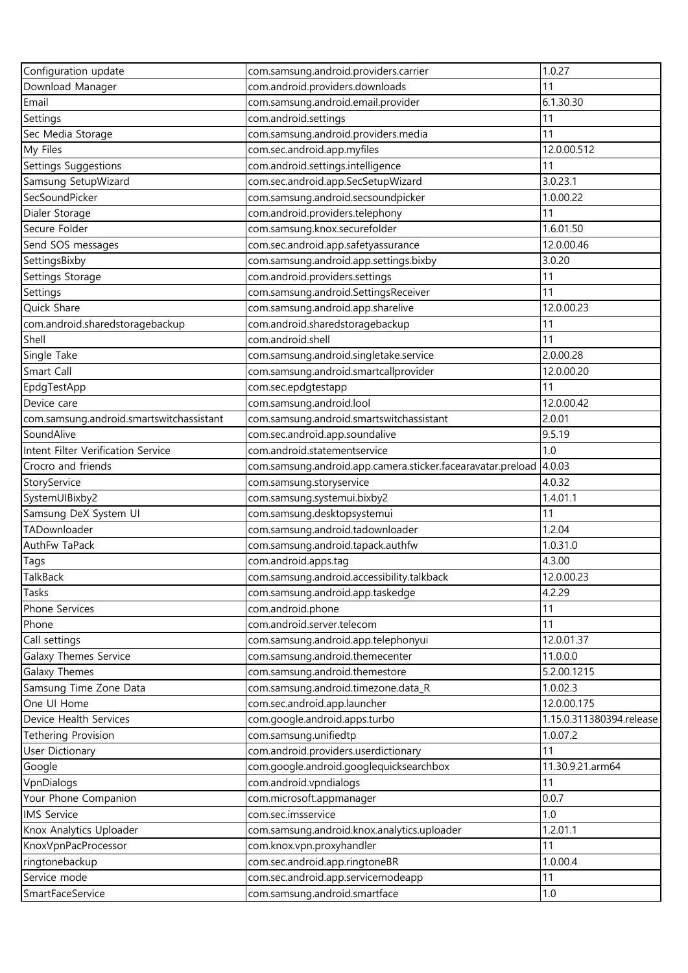| Configuration update                     | com.samsung.android.providers.carrier                                                   | 1.0.27                   |
|------------------------------------------|-----------------------------------------------------------------------------------------|--------------------------|
| Download Manager                         | com.android.providers.downloads                                                         | 11                       |
| Email                                    | com.samsung.android.email.provider                                                      | 6.1.30.30                |
| Settings                                 | com.android.settings                                                                    | 11                       |
| Sec Media Storage                        | com.samsung.android.providers.media                                                     | 11                       |
| My Files                                 | com.sec.android.app.myfiles                                                             | 12.0.00.512              |
| Settings Suggestions                     | com.android.settings.intelligence                                                       | 11                       |
| Samsung SetupWizard                      | com.sec.android.app.SecSetupWizard                                                      | 3.0.23.1                 |
| SecSoundPicker                           | com.samsung.android.secsoundpicker                                                      | 1.0.00.22                |
| Dialer Storage                           | com.android.providers.telephony                                                         | 11                       |
| Secure Folder                            | com.samsung.knox.securefolder                                                           | 1.6.01.50                |
| Send SOS messages                        | com.sec.android.app.safetyassurance                                                     | 12.0.00.46               |
| SettingsBixby                            | com.samsung.android.app.settings.bixby                                                  | 3.0.20                   |
| Settings Storage                         | com.android.providers.settings                                                          | 11                       |
| Settings                                 | com.samsung.android.SettingsReceiver                                                    | 11                       |
| Quick Share                              | com.samsung.android.app.sharelive                                                       | 12.0.00.23               |
| com.android.sharedstoragebackup          | com.android.sharedstoragebackup                                                         | 11                       |
| Shell                                    | com.android.shell                                                                       | 11                       |
| Single Take                              | com.samsung.android.singletake.service                                                  | 2.0.00.28                |
| Smart Call                               | com.samsung.android.smartcallprovider                                                   | 12.0.00.20               |
| EpdgTestApp                              | com.sec.epdgtestapp                                                                     | 11                       |
| Device care                              | com.samsung.android.lool                                                                | 12.0.00.42               |
| com.samsung.android.smartswitchassistant | com.samsung.android.smartswitchassistant                                                | 2.0.01                   |
| SoundAlive                               | com.sec.android.app.soundalive                                                          | 9.5.19                   |
| Intent Filter Verification Service       | com.android.statementservice                                                            | 1.0                      |
| Crocro and friends                       |                                                                                         | 4.0.03                   |
| StoryService                             | com.samsung.android.app.camera.sticker.facearavatar.preload<br>com.samsung.storyservice | 4.0.32                   |
| SystemUIBixby2                           | com.samsung.systemui.bixby2                                                             | 1.4.01.1                 |
| Samsung DeX System UI                    | com.samsung.desktopsystemui                                                             | 11                       |
| TADownloader                             | com.samsung.android.tadownloader                                                        | 1.2.04                   |
| AuthFw TaPack                            | com.samsung.android.tapack.authfw                                                       | 1.0.31.0                 |
|                                          | com.android.apps.tag                                                                    | 4.3.00                   |
| Tags<br>TalkBack                         | com.samsung.android.accessibility.talkback                                              | 12.0.00.23               |
| Tasks                                    | com.samsung.android.app.taskedge                                                        | 4.2.29                   |
| Phone Services                           | com.android.phone                                                                       | 11                       |
| Phone                                    | com.android.server.telecom                                                              | 11                       |
|                                          |                                                                                         | 12.0.01.37               |
| Call settings                            | com.samsung.android.app.telephonyui                                                     | 11.0.0.0                 |
| Galaxy Themes Service                    | com.samsung.android.themecenter                                                         |                          |
| <b>Galaxy Themes</b>                     | com.samsung.android.themestore                                                          | 5.2.00.1215              |
| Samsung Time Zone Data                   | com.samsung.android.timezone.data_R                                                     | 1.0.02.3                 |
| One UI Home                              | com.sec.android.app.launcher                                                            | 12.0.00.175              |
| Device Health Services                   | com.google.android.apps.turbo                                                           | 1.15.0.311380394.release |
| <b>Tethering Provision</b>               | com.samsung.unifiedtp                                                                   | 1.0.07.2                 |
| <b>User Dictionary</b>                   | com.android.providers.userdictionary                                                    | 11                       |
| Google                                   | com.google.android.googlequicksearchbox                                                 | 11.30.9.21.arm64         |
| VpnDialogs                               | com.android.vpndialogs                                                                  | 11                       |
| Your Phone Companion                     | com.microsoft.appmanager                                                                | 0.0.7                    |
| <b>IMS Service</b>                       | com.sec.imsservice                                                                      | 1.0                      |
| Knox Analytics Uploader                  | com.samsung.android.knox.analytics.uploader                                             | 1.2.01.1                 |
| KnoxVpnPacProcessor                      | com.knox.vpn.proxyhandler                                                               | 11                       |
| ringtonebackup                           | com.sec.android.app.ringtoneBR                                                          | 1.0.00.4                 |
| Service mode                             | com.sec.android.app.servicemodeapp                                                      | 11                       |
| SmartFaceService                         | com.samsung.android.smartface                                                           | 1.0                      |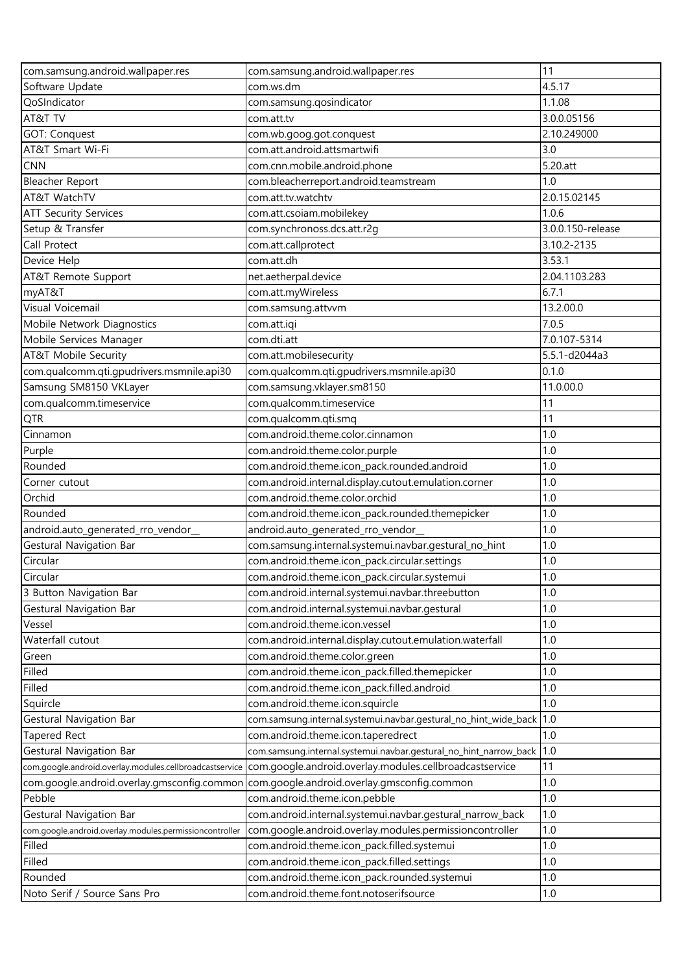| com.samsung.android.wallpaper.res                       | com.samsung.android.wallpaper.res                                                                               | 11                |
|---------------------------------------------------------|-----------------------------------------------------------------------------------------------------------------|-------------------|
| Software Update                                         | com.ws.dm                                                                                                       | 4.5.17            |
| QoSIndicator                                            | com.samsung.qosindicator                                                                                        | 1.1.08            |
| AT&T TV                                                 | com.att.tv                                                                                                      | 3.0.0.05156       |
| <b>GOT: Conquest</b>                                    | com.wb.goog.got.conquest                                                                                        | 2.10.249000       |
| AT&T Smart Wi-Fi                                        | com.att.android.attsmartwifi                                                                                    | 3.0               |
| <b>CNN</b>                                              | com.cnn.mobile.android.phone                                                                                    | 5.20.att          |
| Bleacher Report                                         | com.bleacherreport.android.teamstream                                                                           | 1.0               |
| AT&T WatchTV                                            | com.att.tv.watchtv                                                                                              | 2.0.15.02145      |
| <b>ATT Security Services</b>                            | com.att.csoiam.mobilekey                                                                                        | 1.0.6             |
| Setup & Transfer                                        | com.synchronoss.dcs.att.r2g                                                                                     | 3.0.0.150-release |
| Call Protect                                            | com.att.callprotect                                                                                             | 3.10.2-2135       |
| Device Help                                             | com.att.dh                                                                                                      | 3.53.1            |
| AT&T Remote Support                                     | net.aetherpal.device                                                                                            | 2.04.1103.283     |
| myAT&T                                                  | com.att.myWireless                                                                                              | 6.7.1             |
| Visual Voicemail                                        | com.samsung.attvvm                                                                                              | 13.2.00.0         |
| Mobile Network Diagnostics                              | com.att.iqi                                                                                                     | 7.0.5             |
| Mobile Services Manager                                 | com.dti.att                                                                                                     | 7.0.107-5314      |
| AT&T Mobile Security                                    | com.att.mobilesecurity                                                                                          | 5.5.1-d2044a3     |
| com.qualcomm.qti.gpudrivers.msmnile.api30               | com.qualcomm.qti.qpudrivers.msmnile.api30                                                                       | 0.1.0             |
| Samsung SM8150 VKLayer                                  | com.samsung.vklayer.sm8150                                                                                      | 11.0.00.0         |
| com.qualcomm.timeservice                                | com.qualcomm.timeservice                                                                                        | 11                |
|                                                         |                                                                                                                 | 11                |
| <b>QTR</b>                                              | com.qualcomm.qti.smq                                                                                            |                   |
| Cinnamon                                                | com.android.theme.color.cinnamon                                                                                | 1.0               |
| Purple                                                  | com.android.theme.color.purple                                                                                  | 1.0               |
| Rounded                                                 | com.android.theme.icon_pack.rounded.android                                                                     | 1.0               |
| Corner cutout                                           | com.android.internal.display.cutout.emulation.corner                                                            | 1.0               |
| Orchid                                                  | com.android.theme.color.orchid                                                                                  | 1.0               |
| Rounded                                                 | com.android.theme.icon_pack.rounded.themepicker                                                                 | 1.0               |
| android.auto_generated_rro_vendor_                      | android.auto_generated_rro_vendor_                                                                              | 1.0               |
| Gestural Navigation Bar                                 | com.samsung.internal.systemui.navbar.gestural_no_hint                                                           | 1.0               |
| Circular                                                | com.android.theme.icon_pack.circular.settings                                                                   | 1.0               |
| Circular                                                | com.android.theme.icon_pack.circular.systemui                                                                   | 1.0               |
| 3 Button Navigation Bar                                 | com.android.internal.systemui.navbar.threebutton                                                                | 1.0               |
| Gestural Navigation Bar                                 | com.android.internal.systemui.navbar.gestural                                                                   | 1.0               |
| Vessel                                                  | com.android.theme.icon.vessel                                                                                   | 1.0               |
| Waterfall cutout                                        | com.android.internal.display.cutout.emulation.waterfall                                                         | 1.0               |
| Green                                                   | com.android.theme.color.green                                                                                   | 1.0               |
| Filled                                                  | com.android.theme.icon_pack.filled.themepicker                                                                  | 1.0               |
| Filled                                                  | com.android.theme.icon_pack.filled.android                                                                      | 1.0               |
| Squircle                                                | com.android.theme.icon.squircle                                                                                 | 1.0               |
| Gestural Navigation Bar                                 | com.samsung.internal.systemui.navbar.gestural_no_hint_wide_back                                                 | 1.0               |
| Tapered Rect                                            | com.android.theme.icon.taperedrect                                                                              | 1.0               |
| Gestural Navigation Bar                                 | com.samsung.internal.systemui.navbar.gestural_no_hint_narrow_back                                               | 1.0               |
|                                                         | com.google.android.overlay.modules.cellbroadcastservice com.google.android.overlay.modules.cellbroadcastservice | 11                |
| com.google.android.overlay.gmsconfig.common             | com.google.android.overlay.gmsconfig.common                                                                     | 1.0               |
| Pebble                                                  | com.android.theme.icon.pebble                                                                                   | 1.0               |
| Gestural Navigation Bar                                 | com.android.internal.systemui.navbar.gestural_narrow_back                                                       | 1.0               |
| com.google.android.overlay.modules.permissioncontroller | com.google.android.overlay.modules.permissioncontroller                                                         | 1.0               |
| Filled                                                  | com.android.theme.icon_pack.filled.systemui                                                                     | 1.0               |
| Filled                                                  | com.android.theme.icon_pack.filled.settings                                                                     | 1.0               |
| Rounded                                                 | com.android.theme.icon_pack.rounded.systemui                                                                    | 1.0               |
| Noto Serif / Source Sans Pro                            | com.android.theme.font.notoserifsource                                                                          | 1.0               |
|                                                         |                                                                                                                 |                   |